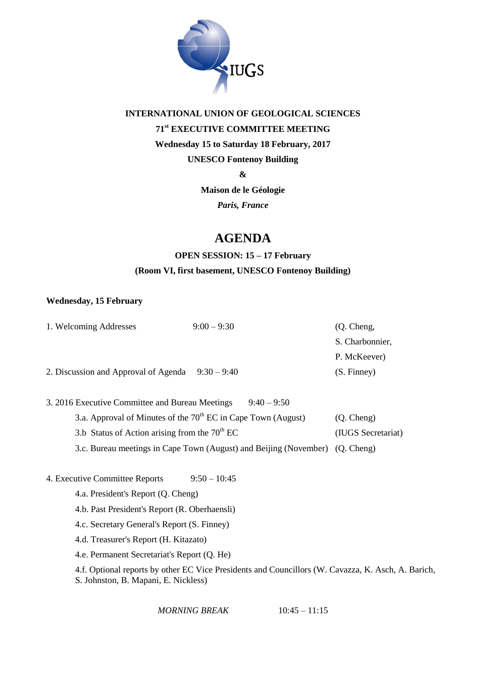

## **INTERNATIONAL UNION OF GEOLOGICAL SCIENCES 71st EXECUTIVE COMMITTEE MEETING Wednesday 15 to Saturday 18 February, 2017 UNESCO Fontenoy Building**

**&**

**Maison de le Géologie**

*Paris, France*

## **AGENDA**

## **OPEN SESSION: 15 – 17 February (Room VI, first basement, UNESCO Fontenoy Building)**

#### **Wednesday, 15 February**

| 1. Welcoming Addresses                                                       | $9:00 - 9:30$                                                   | (Q. Cheng,         |  |  |
|------------------------------------------------------------------------------|-----------------------------------------------------------------|--------------------|--|--|
|                                                                              |                                                                 | S. Charbonnier,    |  |  |
|                                                                              |                                                                 | P. McKeever)       |  |  |
| 2. Discussion and Approval of Agenda $9:30-9:40$                             |                                                                 | (S. Finney)        |  |  |
|                                                                              |                                                                 |                    |  |  |
| 3. 2016 Executive Committee and Bureau Meetings                              | $9:40 - 9:50$                                                   |                    |  |  |
|                                                                              | 3.a. Approval of Minutes of the $70th EC$ in Cape Town (August) | (Q. Cheng)         |  |  |
| 3.b Status of Action arising from the $70th EC$                              |                                                                 | (IUGS Secretariat) |  |  |
| 3.c. Bureau meetings in Cape Town (August) and Beijing (November) (Q. Cheng) |                                                                 |                    |  |  |
|                                                                              |                                                                 |                    |  |  |
| 4. Executive Committee Reports                                               | $9:50 - 10:45$                                                  |                    |  |  |
| 4.a. President's Report (Q. Cheng)                                           |                                                                 |                    |  |  |
| 4.b. Past President's Report (R. Oberhaensli)                                |                                                                 |                    |  |  |
| 4.c. Secretary General's Report (S. Finney)                                  |                                                                 |                    |  |  |
|                                                                              |                                                                 |                    |  |  |

- 4.d. Treasurer's Report (H. Kitazato)
- 4.e. Permanent Secretariat's Report (Q. He)

4.f. Optional reports by other EC Vice Presidents and Councillors (W. Cavazza, K. Asch, A. Barich, S. Johnston, B. Mapani, E. Nickless)

*MORNING BREAK* 10:45 – 11:15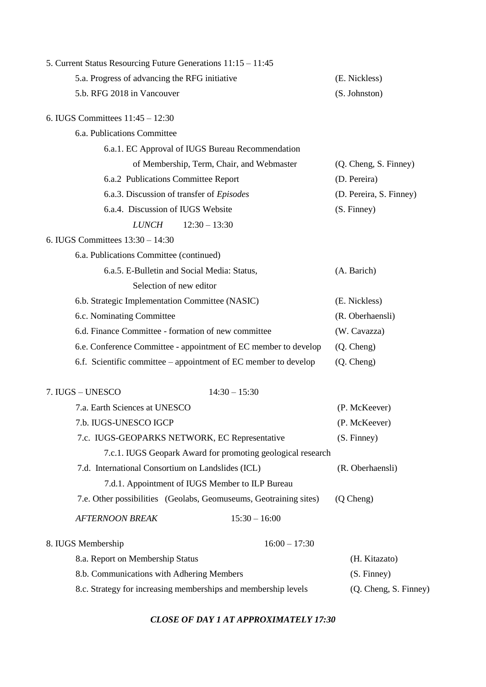| 5. Current Status Resourcing Future Generations 11:15 - 11:45     |                         |
|-------------------------------------------------------------------|-------------------------|
| 5.a. Progress of advancing the RFG initiative                     | (E. Nickless)           |
| 5.b. RFG 2018 in Vancouver                                        | (S. Johnston)           |
| 6. IUGS Committees $11:45 - 12:30$                                |                         |
| 6.a. Publications Committee                                       |                         |
| 6.a.1. EC Approval of IUGS Bureau Recommendation                  |                         |
| of Membership, Term, Chair, and Webmaster                         | (Q. Cheng, S. Finney)   |
| 6.a.2 Publications Committee Report                               | (D. Pereira)            |
| 6.a.3. Discussion of transfer of Episodes                         | (D. Pereira, S. Finney) |
| 6.a.4. Discussion of IUGS Website                                 | (S. Finney)             |
| <b>LUNCH</b><br>$12:30 - 13:30$                                   |                         |
| 6. IUGS Committees $13:30 - 14:30$                                |                         |
| 6.a. Publications Committee (continued)                           |                         |
| 6.a.5. E-Bulletin and Social Media: Status,                       | (A. Barich)             |
| Selection of new editor                                           |                         |
| 6.b. Strategic Implementation Committee (NASIC)                   | (E. Nickless)           |
| 6.c. Nominating Committee                                         | (R. Oberhaensli)        |
| 6.d. Finance Committee - formation of new committee               | (W. Cavazza)            |
| 6.e. Conference Committee - appointment of EC member to develop   | (Q. Cheng)              |
| 6.f. Scientific committee – appointment of EC member to develop   | (Q. Cheng)              |
| $14:30 - 15:30$<br>7. IUGS - UNESCO                               |                         |
| 7.a. Earth Sciences at UNESCO                                     | (P. McKeever)           |
| 7.b. IUGS-UNESCO IGCP                                             | (P. McKeever)           |
| 7.c. IUGS-GEOPARKS NETWORK, EC Representative                     | (S. Finney)             |
| 7.c.1. IUGS Geopark Award for promoting geological research       |                         |
| 7.d. International Consortium on Landslides (ICL)                 | (R. Oberhaensli)        |
| 7.d.1. Appointment of IUGS Member to ILP Bureau                   |                         |
| 7.e. Other possibilities (Geolabs, Geomuseums, Geotraining sites) | (Q Cheng)               |
| $15:30 - 16:00$<br><b>AFTERNOON BREAK</b>                         |                         |
| $16:00 - 17:30$<br>8. IUGS Membership                             |                         |
| 8.a. Report on Membership Status                                  | (H. Kitazato)           |
| 8.b. Communications with Adhering Members                         | (S. Finney)             |
| 8.c. Strategy for increasing memberships and membership levels    | (Q. Cheng, S. Finney)   |

#### *CLOSE OF DAY 1 AT APPROXIMATELY 17:30*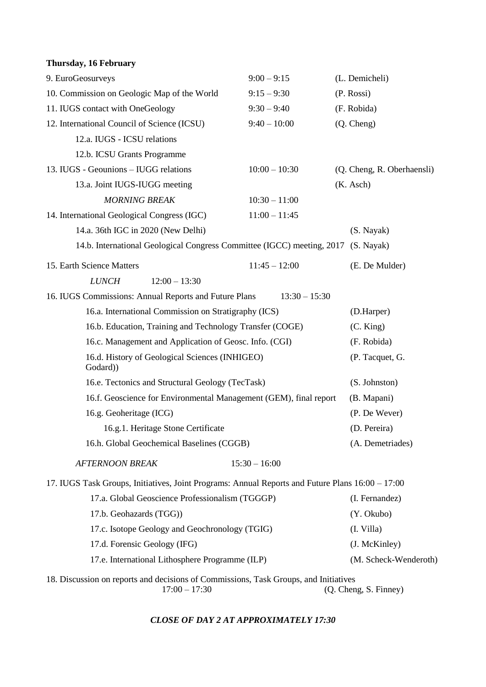| Thursday, 16 February                                                                            |                 |                            |
|--------------------------------------------------------------------------------------------------|-----------------|----------------------------|
| 9. EuroGeosurveys                                                                                | $9:00 - 9:15$   | (L. Demicheli)             |
| 10. Commission on Geologic Map of the World                                                      | $9:15 - 9:30$   | (P. Rosi)                  |
| 11. IUGS contact with OneGeology                                                                 | $9:30 - 9:40$   | (F. Robida)                |
| 12. International Council of Science (ICSU)                                                      | $9:40 - 10:00$  | (Q. Cheng)                 |
| 12.a. IUGS - ICSU relations                                                                      |                 |                            |
| 12.b. ICSU Grants Programme                                                                      |                 |                            |
| 13. IUGS - Geounions - IUGG relations                                                            | $10:00 - 10:30$ | (Q. Cheng, R. Oberhaensli) |
| 13.a. Joint IUGS-IUGG meeting                                                                    |                 | (K. Asch)                  |
| <b>MORNING BREAK</b>                                                                             | $10:30 - 11:00$ |                            |
| 14. International Geological Congress (IGC)                                                      | $11:00 - 11:45$ |                            |
| 14.a. 36th IGC in 2020 (New Delhi)                                                               |                 | (S. Nayak)                 |
| 14.b. International Geological Congress Committee (IGCC) meeting, 2017                           |                 | (S. Nayak)                 |
| 15. Earth Science Matters                                                                        | $11:45 - 12:00$ | (E. De Mulder)             |
| <b>LUNCH</b><br>$12:00 - 13:30$                                                                  |                 |                            |
| 16. IUGS Commissions: Annual Reports and Future Plans                                            | $13:30 - 15:30$ |                            |
| 16.a. International Commission on Stratigraphy (ICS)                                             |                 | (D.Harper)                 |
| 16.b. Education, Training and Technology Transfer (COGE)                                         | (C. King)       |                            |
| 16.c. Management and Application of Geosc. Info. (CGI)                                           | (F. Robida)     |                            |
| 16.d. History of Geological Sciences (INHIGEO)<br>Godard))                                       |                 | (P. Tacquet, G.            |
| 16.e. Tectonics and Structural Geology (TecTask)                                                 |                 | (S. Johnston)              |
| 16.f. Geoscience for Environmental Management (GEM), final report                                |                 | (B. Mapani)                |
| 16.g. Geoheritage (ICG)                                                                          |                 | (P. De Wever)              |
| 16.g.1. Heritage Stone Certificate                                                               |                 | (D. Pereira)               |
| 16.h. Global Geochemical Baselines (CGGB)                                                        |                 | (A. Demetriades)           |
| <b>AFTERNOON BREAK</b>                                                                           | $15:30 - 16:00$ |                            |
| 17. IUGS Task Groups, Initiatives, Joint Programs: Annual Reports and Future Plans 16:00 – 17:00 |                 |                            |
| 17.a. Global Geoscience Professionalism (TGGGP)                                                  |                 | (I. Fernandez)             |
| 17.b. Geohazards (TGG))                                                                          |                 | (Y. Okubo)                 |
| 17.c. Isotope Geology and Geochronology (TGIG)                                                   |                 | (I. Villa)                 |
| 17.d. Forensic Geology (IFG)                                                                     |                 | (J. McKinley)              |
| 17.e. International Lithosphere Programme (ILP)                                                  |                 | (M. Scheck-Wenderoth)      |

18. Discussion on reports and decisions of Commissions, Task Groups, and Initiatives 17:00 – 17:30 (Q. Cheng, S. Finney)

*CLOSE OF DAY 2 AT APPROXIMATELY 17:30*